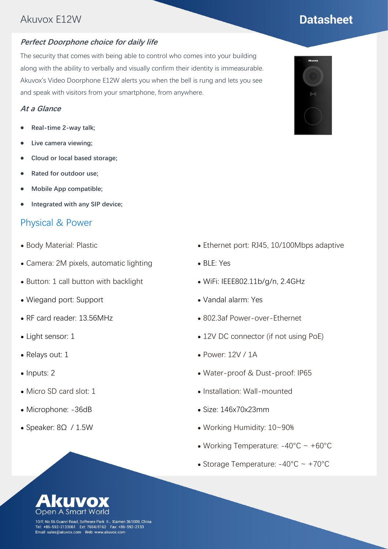## Akuvox E12W

#### **Perfect Doorphone choice for daily life**

The security that comes with being able to control who comes into your building along with the ability to verbally and visually confirm their identity is immeasurable. Akuvox's Video Doorphone E12W alerts you when the bell is rung and lets you see and speak with visitors from your smartphone, from anywhere.

#### **At a Glance**

- ⚫ **Real-time 2-way talk;**
- ⚫ **Live camera viewing;**
- ⚫ **Cloud or local based storage;**
- ⚫ **Rated for outdoor use;**
- ⚫ **Mobile App compatible;**
- ⚫ **Integrated with any SIP device;**

#### Physical & Power

- ⚫ Body Material: Plastic
- ⚫ Camera: 2M pixels, automatic lighting
- ⚫ Button: 1 call button with backlight
- ⚫ Wiegand port: Support
- ⚫ RF card reader: 13.56MHz
- Light sensor: 1
- ⚫ Relays out: 1
- Inputs: 2
- ⚫ Micro SD card slot: 1
- ⚫ Microphone: -36dB
- Speaker: 8Ω / 1.5W
- ⚫ Ethernet port: RJ45, 10/100Mbps adaptive
- ⚫ BLE: Yes
- ⚫ WiFi: IEEE802.11b/g/n, 2.4GHz
- ⚫ Vandal alarm: Yes
- ⚫ 802.3af Power-over-Ethernet
- ⚫ 12V DC connector (if not using PoE)
- ⚫ Power: 12V / 1A
- ⚫ Water-proof & Dust-proof: IP65
- Installation: Wall-mounted
- ⚫ Size: 146x70x23mm
- ⚫ Working Humidity: 10~90%
- Working Temperature:  $-40^{\circ}$ C ~  $+60^{\circ}$ C
- Storage Temperature:  $-40^{\circ}$ C ~  $+70^{\circ}$ C



10/F, No.56 Guanri Road, Software Park II, Xiamen 361009, China Tel: +86-592-2133061 Ext: 7694/8162 Fax: +86-592-2133<br>Email: sales@akuvox.com Web: www.akuvox.com



# **Datasheet**